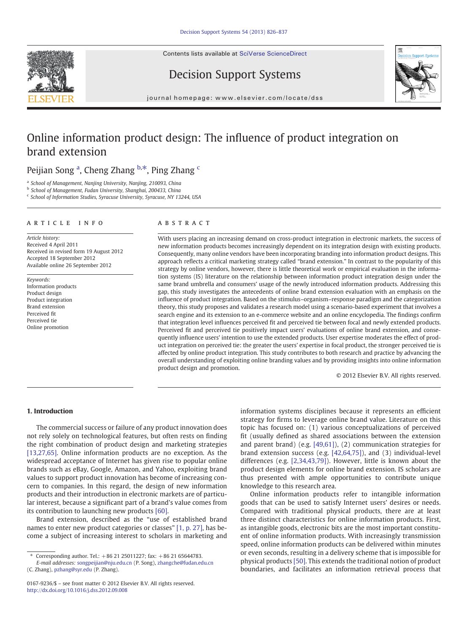Contents lists available at [SciVerse ScienceDirect](http://www.sciencedirect.com/science/journal/01679236)







journal homepage: www.elsevier.com/locate/dss

## Online information product design: The influence of product integration on brand extension

### Peijian Song <sup>a</sup>, Cheng Zhang <sup>b,\*</sup>, Ping Zhang <sup>c</sup>

<sup>a</sup> School of Management, Nanjing University, Nanjing, 210093, China

<sup>b</sup> School of Management, Fudan University, Shanghai, 200433, China

<sup>c</sup> School of Information Studies, Syracuse University, Syracuse, NY 13244, USA

#### ARTICLE INFO ABSTRACT

Article history: Received 4 April 2011 Received in revised form 19 August 2012 Accepted 18 September 2012 Available online 26 September 2012

Keywords: Information products Product design Product integration Brand extension Perceived fit Perceived tie Online promotion

With users placing an increasing demand on cross-product integration in electronic markets, the success of new information products becomes increasingly dependent on its integration design with existing products. Consequently, many online vendors have been incorporating branding into information product designs. This approach reflects a critical marketing strategy called "brand extension." In contrast to the popularity of this strategy by online vendors, however, there is little theoretical work or empirical evaluation in the information systems (IS) literature on the relationship between information product integration design under the same brand umbrella and consumers' usage of the newly introduced information products. Addressing this gap, this study investigates the antecedents of online brand extension evaluation with an emphasis on the influence of product integration. Based on the stimulus–organism–response paradigm and the categorization theory, this study proposes and validates a research model using a scenario-based experiment that involves a search engine and its extension to an e-commerce website and an online encyclopedia. The findings confirm that integration level influences perceived fit and perceived tie between focal and newly extended products. Perceived fit and perceived tie positively impact users' evaluations of online brand extension, and consequently influence users' intention to use the extended products. User expertise moderates the effect of product integration on perceived tie: the greater the users' expertise in focal product, the stronger perceived tie is affected by online product integration. This study contributes to both research and practice by advancing the overall understanding of exploiting online branding values and by providing insights into online information product design and promotion.

© 2012 Elsevier B.V. All rights reserved.

### 1. Introduction

The commercial success or failure of any product innovation does not rely solely on technological features, but often rests on finding the right combination of product design and marketing strategies [\[13,27,65\]](#page--1-0). Online information products are no exception. As the widespread acceptance of Internet has given rise to popular online brands such as eBay, Google, Amazon, and Yahoo, exploiting brand values to support product innovation has become of increasing concern to companies. In this regard, the design of new information products and their introduction in electronic markets are of particular interest, because a significant part of a brand's value comes from its contribution to launching new products [\[60\].](#page--1-0)

Brand extension, described as the "use of established brand names to enter new product categories or classes" [\[1, p. 27\],](#page--1-0) has become a subject of increasing interest to scholars in marketing and

⁎ Corresponding author. Tel.: +86 21 25011227; fax: +86 21 65644783.

E-mail addresses: [songpeijian@nju.edu.cn](mailto:songpeijian@nju.edu.cn) (P. Song), [zhangche@fudan.edu.cn](mailto:zhangche@fudan.edu.cn) (C. Zhang), [pzhang@syr.edu](mailto:pzhang@syr.edu) (P. Zhang).

information systems disciplines because it represents an efficient strategy for firms to leverage online brand value. Literature on this topic has focused on: (1) various conceptualizations of perceived fit (usually defined as shared associations between the extension and parent brand) (e.g. [\[49,61\]](#page--1-0)), (2) communication strategies for brand extension success (e.g. [\[42,64,75\]\)](#page--1-0), and (3) individual-level differences (e.g. [\[2,34,43,79\]](#page--1-0)). However, little is known about the product design elements for online brand extension. IS scholars are thus presented with ample opportunities to contribute unique knowledge to this research area.

Online information products refer to intangible information goods that can be used to satisfy Internet users' desires or needs. Compared with traditional physical products, there are at least three distinct characteristics for online information products. First, as intangible goods, electronic bits are the most important constituent of online information products. With increasingly transmission speed, online information products can be delivered within minutes or even seconds, resulting in a delivery scheme that is impossible for physical products [\[50\]](#page--1-0). This extends the traditional notion of product boundaries, and facilitates an information retrieval process that

<sup>0167-9236/\$</sup> – see front matter © 2012 Elsevier B.V. All rights reserved. <http://dx.doi.org/10.1016/j.dss.2012.09.008>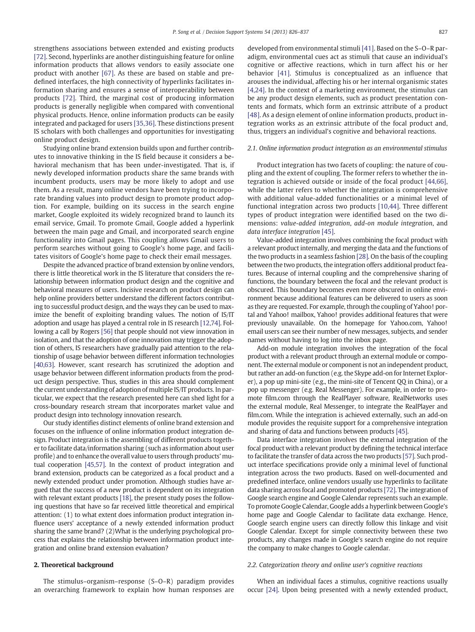strengthens associations between extended and existing products [\[72\].](#page--1-0) Second, hyperlinks are another distinguishing feature for online information products that allows vendors to easily associate one product with another [\[67\].](#page--1-0) As these are based on stable and predefined interfaces, the high connectivity of hyperlinks facilitates information sharing and ensures a sense of interoperability between products [\[72\]](#page--1-0). Third, the marginal cost of producing information products is generally negligible when compared with conventional physical products. Hence, online information products can be easily integrated and packaged for users [\[35,36\]](#page--1-0). These distinctions present IS scholars with both challenges and opportunities for investigating online product design.

Studying online brand extension builds upon and further contributes to innovative thinking in the IS field because it considers a behavioral mechanism that has been under-investigated. That is, if newly developed information products share the same brands with incumbent products, users may be more likely to adopt and use them. As a result, many online vendors have been trying to incorporate branding values into product design to promote product adoption. For example, building on its success in the search engine market, Google exploited its widely recognized brand to launch its email service, Gmail. To promote Gmail, Google added a hyperlink between the main page and Gmail, and incorporated search engine functionality into Gmail pages. This coupling allows Gmail users to perform searches without going to Google's home page, and facilitates visitors of Google's home page to check their email messages.

Despite the advanced practice of brand extension by online vendors, there is little theoretical work in the IS literature that considers the relationship between information product design and the cognitive and behavioral measures of users. Incisive research on product design can help online providers better understand the different factors contributing to successful product design, and the ways they can be used to maximize the benefit of exploiting branding values. The notion of IS/IT adoption and usage has played a central role in IS research [\[12,74\]](#page--1-0). Following a call by Rogers [\[56\]](#page--1-0) that people should not view innovation in isolation, and that the adoption of one innovation may trigger the adoption of others, IS researchers have gradually paid attention to the relationship of usage behavior between different information technologies [\[40,63\].](#page--1-0) However, scant research has scrutinized the adoption and usage behavior between different information products from the product design perspective. Thus, studies in this area should complement the current understanding of adoption of multiple IS/IT products. In particular, we expect that the research presented here can shed light for a cross-boundary research stream that incorporates market value and product design into technology innovation research.

Our study identifies distinct elements of online brand extension and focuses on the influence of online information product integration design. Product integration is the assembling of different products together to facilitate data/information sharing (such as information about user profile) and to enhance the overall value to users through products' mutual cooperation [\[45,57\]](#page--1-0). In the context of product integration and brand extension, products can be categorized as a focal product and a newly extended product under promotion. Although studies have argued that the success of a new product is dependent on its integration with relevant extant products [\[18\],](#page--1-0) the present study poses the following questions that have so far received little theoretical and empirical attention: (1) to what extent does information product integration influence users' acceptance of a newly extended information product sharing the same brand? (2)What is the underlying psychological process that explains the relationship between information product integration and online brand extension evaluation?

#### 2. Theoretical background

The stimulus–organism–response (S–O–R) paradigm provides an overarching framework to explain how human responses are developed from environmental stimuli [\[41\].](#page--1-0) Based on the S–O–R paradigm, environmental cues act as stimuli that cause an individual's cognitive or affective reactions, which in turn affect his or her behavior [\[41\]](#page--1-0). Stimulus is conceptualized as an influence that arouses the individual, affecting his or her internal organismic states [\[4,24\]](#page--1-0). In the context of a marketing environment, the stimulus can be any product design elements, such as product presentation contents and formats, which form an extrinsic attribute of a product [\[48\].](#page--1-0) As a design element of online information products, product integration works as an extrinsic attribute of the focal product and, thus, triggers an individual's cognitive and behavioral reactions.

#### 2.1. Online information product integration as an environmental stimulus

Product integration has two facets of coupling: the nature of coupling and the extent of coupling. The former refers to whether the integration is achieved outside or inside of the focal product [\[44,66\],](#page--1-0) while the latter refers to whether the integration is comprehensive with additional value-added functionalities or a minimal level of functional integration across two products [\[10,44\]](#page--1-0). Three different types of product integration were identified based on the two dimensions: value-added integration, add-on module integration, and data interface integration [\[45\].](#page--1-0)

Value-added integration involves combining the focal product with a relevant product internally, and merging the data and the functions of the two products in a seamless fashion [\[28\].](#page--1-0) On the basis of the coupling between the two products, the integration offers additional product features. Because of internal coupling and the comprehensive sharing of functions, the boundary between the focal and the relevant product is obscured. This boundary becomes even more obscured in online environment because additional features can be delivered to users as soon as they are requested. For example, through the coupling of Yahoo! portal and Yahoo! mailbox, Yahoo! provides additional features that were previously unavailable. On the homepage for Yahoo.com, Yahoo! email users can see their number of new messages, subjects, and sender names without having to log into the inbox page.

Add-on module integration involves the integration of the focal product with a relevant product through an external module or component. The external module or component is not an independent product, but rather an add-on function (e.g. the Skype add-on for Internet Explorer), a pop up mini-site (e.g., the mini-site of Tencent QQ in China), or a pop up messenger (e.g. Real Messenger). For example, in order to promote film.com through the RealPlayer software, RealNetworks uses the external module, Real Messenger, to integrate the RealPlayer and film.com. While the integration is achieved externally, such an add-on module provides the requisite support for a comprehensive integration and sharing of data and functions between products [\[45\].](#page--1-0)

Data interface integration involves the external integration of the focal product with a relevant product by defining the technical interface to facilitate the transfer of data across the two products [\[57\]](#page--1-0). Such product interface specifications provide only a minimal level of functional integration across the two products. Based on well-documented and predefined interface, online vendors usually use hyperlinks to facilitate data sharing across focal and promoted products [\[72\].](#page--1-0) The integration of Google search engine and Google Calendar represents such an example. To promote Google Calendar, Google adds a hyperlink between Google's home page and Google Calendar to facilitate data exchange. Hence, Google search engine users can directly follow this linkage and visit Google Calendar. Except for simple connectivity between these two products, any changes made in Google's search engine do not require the company to make changes to Google calendar.

#### 2.2. Categorization theory and online user's cognitive reactions

When an individual faces a stimulus, cognitive reactions usually occur [\[24\].](#page--1-0) Upon being presented with a newly extended product,